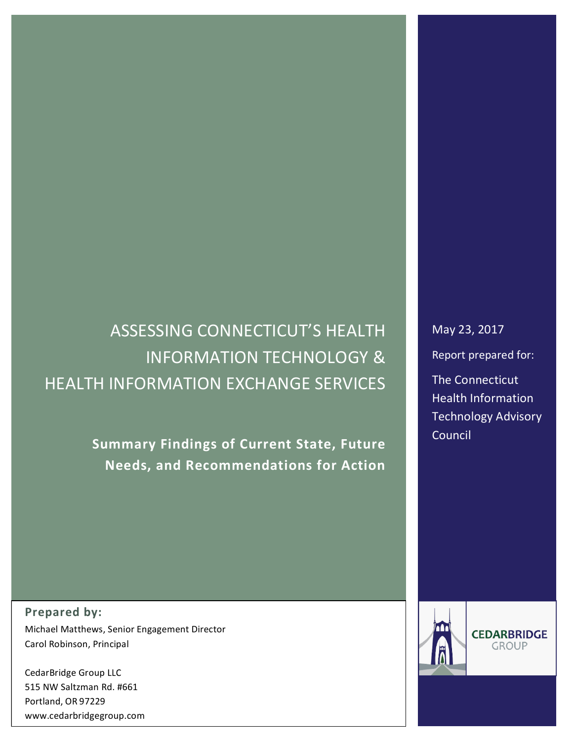# ASSESSING CONNECTICUT'S HEALTH **INFORMATION TECHNOLOGY & HEALTH INFORMATION EXCHANGE SERVICES**

**Summary Findings of Current State, Future Needs, and Recommendations for Action**

**Prepared by:** Michael Matthews, Senior Engagement Director Carol Robinson, Principal

CedarBridge Group LLC 515 NW Saltzman Rd. #661 Portland, OR 97229 www.cedarbridgegroup.com May 23, 2017

Report prepared for:

**The Connecticut** Health Information Technology Advisory **Council** 



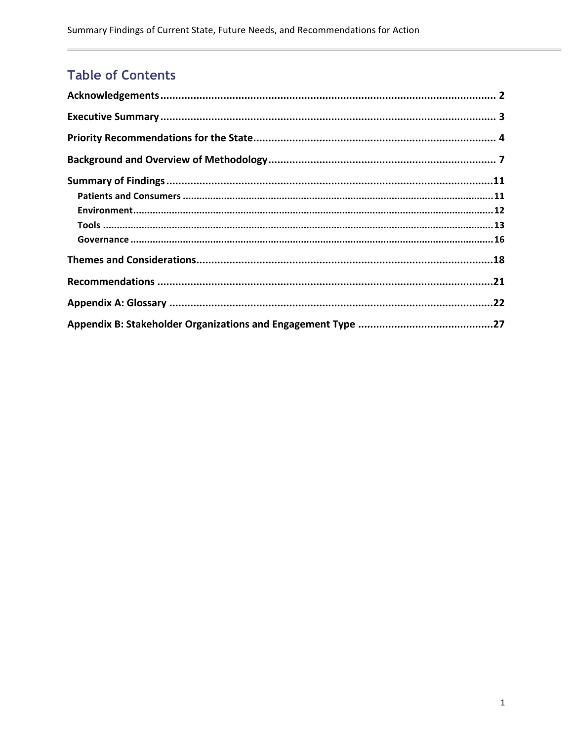# **Table of Contents**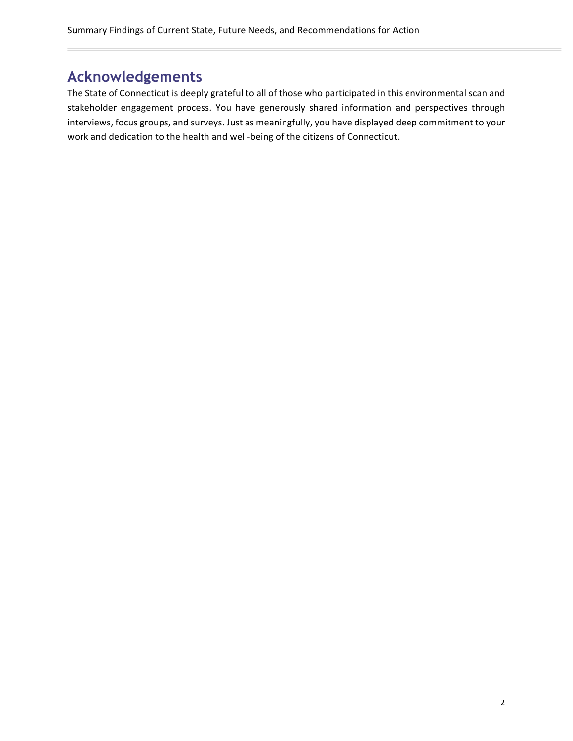# **Acknowledgements**

The State of Connecticut is deeply grateful to all of those who participated in this environmental scan and stakeholder engagement process. You have generously shared information and perspectives through interviews, focus groups, and surveys. Just as meaningfully, you have displayed deep commitment to your work and dedication to the health and well-being of the citizens of Connecticut.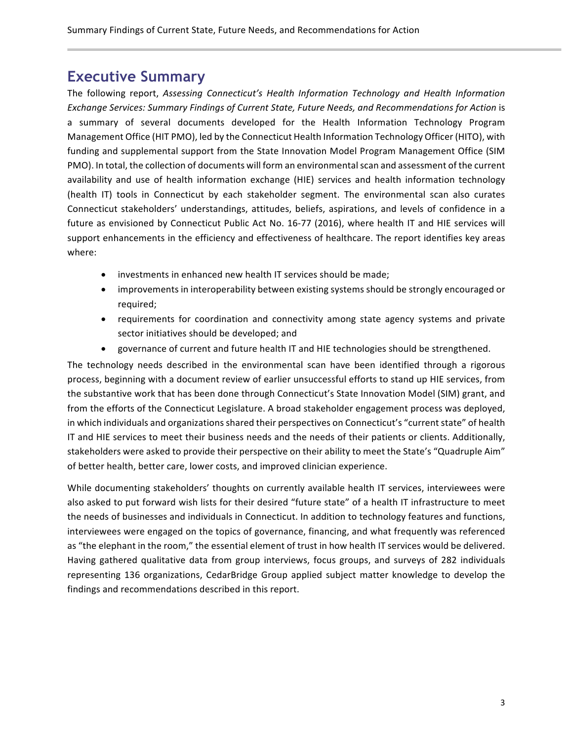## **Executive Summary**

The following report, *Assessing Connecticut's Health Information Technology and Health Information* Exchange Services: Summary Findings of Current State, Future Needs, and Recommendations for Action is a summary of several documents developed for the Health Information Technology Program Management Office (HIT PMO), led by the Connecticut Health Information Technology Officer (HITO), with funding and supplemental support from the State Innovation Model Program Management Office (SIM PMO). In total, the collection of documents will form an environmental scan and assessment of the current availability and use of health information exchange (HIE) services and health information technology (health IT) tools in Connecticut by each stakeholder segment. The environmental scan also curates Connecticut stakeholders' understandings, attitudes, beliefs, aspirations, and levels of confidence in a future as envisioned by Connecticut Public Act No. 16-77 (2016), where health IT and HIE services will support enhancements in the efficiency and effectiveness of healthcare. The report identifies key areas where: 

- investments in enhanced new health IT services should be made;
- improvements in interoperability between existing systems should be strongly encouraged or required;
- requirements for coordination and connectivity among state agency systems and private sector initiatives should be developed; and
- governance of current and future health IT and HIE technologies should be strengthened.

The technology needs described in the environmental scan have been identified through a rigorous process, beginning with a document review of earlier unsuccessful efforts to stand up HIE services, from the substantive work that has been done through Connecticut's State Innovation Model (SIM) grant, and from the efforts of the Connecticut Legislature. A broad stakeholder engagement process was deployed, in which individuals and organizations shared their perspectives on Connecticut's "current state" of health IT and HIE services to meet their business needs and the needs of their patients or clients. Additionally, stakeholders were asked to provide their perspective on their ability to meet the State's "Quadruple Aim" of better health, better care, lower costs, and improved clinician experience.

While documenting stakeholders' thoughts on currently available health IT services, interviewees were also asked to put forward wish lists for their desired "future state" of a health IT infrastructure to meet the needs of businesses and individuals in Connecticut. In addition to technology features and functions, interviewees were engaged on the topics of governance, financing, and what frequently was referenced as "the elephant in the room," the essential element of trust in how health IT services would be delivered. Having gathered qualitative data from group interviews, focus groups, and surveys of 282 individuals representing 136 organizations, CedarBridge Group applied subject matter knowledge to develop the findings and recommendations described in this report.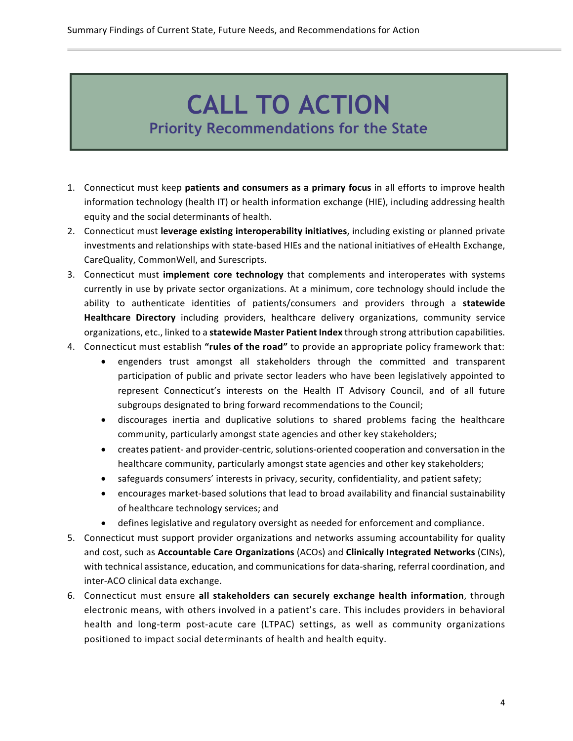# **CALL TO ACTION Priority Recommendations for the State**

- 1. Connecticut must keep **patients and consumers as a primary focus** in all efforts to improve health information technology (health IT) or health information exchange (HIE), including addressing health equity and the social determinants of health.
- 2. Connecticut must **leverage existing interoperability initiatives**, including existing or planned private investments and relationships with state-based HIEs and the national initiatives of eHealth Exchange, CareQuality, CommonWell, and Surescripts.
- 3. Connecticut must **implement core technology** that complements and interoperates with systems currently in use by private sector organizations. At a minimum, core technology should include the ability to authenticate identities of patients/consumers and providers through a statewide **Healthcare Directory** including providers, healthcare delivery organizations, community service organizations, etc., linked to a statewide Master Patient Index through strong attribution capabilities.
- 4. Connecticut must establish "rules of the road" to provide an appropriate policy framework that:
	- engenders trust amongst all stakeholders through the committed and transparent participation of public and private sector leaders who have been legislatively appointed to represent Connecticut's interests on the Health IT Advisory Council, and of all future subgroups designated to bring forward recommendations to the Council;
	- discourages inertia and duplicative solutions to shared problems facing the healthcare community, particularly amongst state agencies and other key stakeholders;
	- creates patient- and provider-centric, solutions-oriented cooperation and conversation in the healthcare community, particularly amongst state agencies and other key stakeholders;
	- safeguards consumers' interests in privacy, security, confidentiality, and patient safety;
	- encourages market-based solutions that lead to broad availability and financial sustainability of healthcare technology services; and
	- defines legislative and regulatory oversight as needed for enforcement and compliance.
- 5. Connecticut must support provider organizations and networks assuming accountability for quality and cost, such as Accountable Care Organizations (ACOs) and Clinically Integrated Networks (CINs), with technical assistance, education, and communications for data-sharing, referral coordination, and inter-ACO clinical data exchange.
- 6. Connecticut must ensure **all stakeholders can securely exchange health information**, through electronic means, with others involved in a patient's care. This includes providers in behavioral health and long-term post-acute care (LTPAC) settings, as well as community organizations positioned to impact social determinants of health and health equity.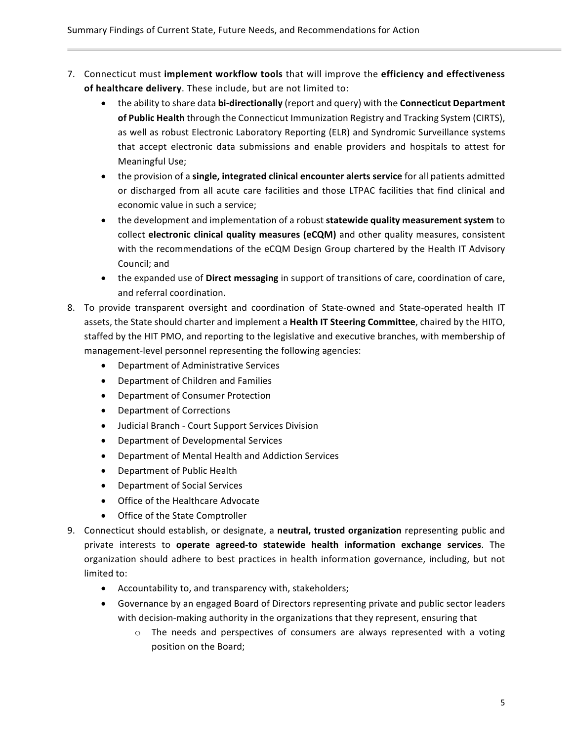- 7. Connecticut must **implement workflow tools** that will improve the **efficiency and effectiveness** of healthcare delivery. These include, but are not limited to:
	- the ability to share data bi-directionally (report and query) with the **Connecticut Department** of Public Health through the Connecticut Immunization Registry and Tracking System (CIRTS), as well as robust Electronic Laboratory Reporting (ELR) and Syndromic Surveillance systems that accept electronic data submissions and enable providers and hospitals to attest for Meaningful Use;
	- the provision of a **single, integrated clinical encounter alerts service** for all patients admitted or discharged from all acute care facilities and those LTPAC facilities that find clinical and economic value in such a service;
	- the development and implementation of a robust **statewide quality measurement system** to collect **electronic clinical quality measures (eCQM)** and other quality measures, consistent with the recommendations of the eCQM Design Group chartered by the Health IT Advisory Council; and
	- the expanded use of **Direct messaging** in support of transitions of care, coordination of care, and referral coordination.
- 8. To provide transparent oversight and coordination of State-owned and State-operated health IT assets, the State should charter and implement a Health IT Steering Committee, chaired by the HITO, staffed by the HIT PMO, and reporting to the legislative and executive branches, with membership of management-level personnel representing the following agencies:
	- Department of Administrative Services
	- Department of Children and Families
	- Department of Consumer Protection
	- Department of Corrections
	- Judicial Branch Court Support Services Division
	- Department of Developmental Services
	- Department of Mental Health and Addiction Services
	- Department of Public Health
	- Department of Social Services
	- Office of the Healthcare Advocate
	- Office of the State Comptroller
- 9. Connecticut should establish, or designate, a **neutral, trusted organization** representing public and private interests to **operate agreed-to statewide health information exchange services**. The organization should adhere to best practices in health information governance, including, but not limited to:
	- Accountability to, and transparency with, stakeholders;
	- Governance by an engaged Board of Directors representing private and public sector leaders with decision-making authority in the organizations that they represent, ensuring that
		- $\circ$  The needs and perspectives of consumers are always represented with a voting position on the Board;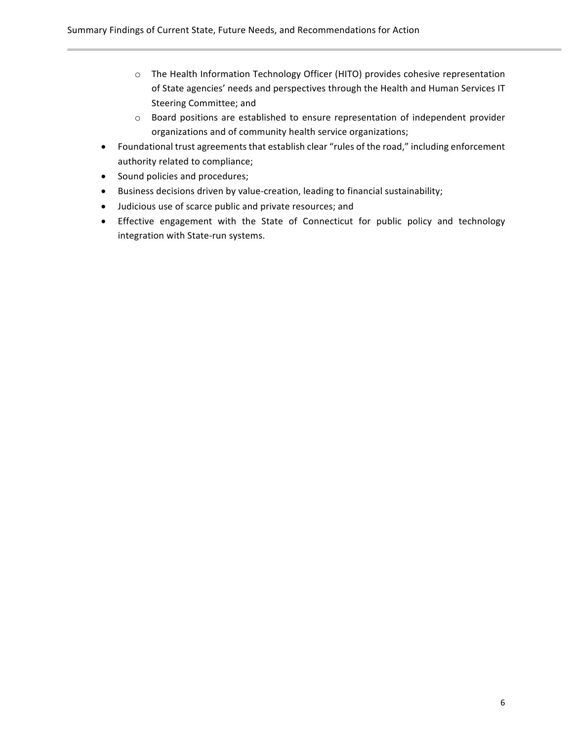- o The Health Information Technology Officer (HITO) provides cohesive representation of State agencies' needs and perspectives through the Health and Human Services IT Steering Committee; and
- o Board positions are established to ensure representation of independent provider organizations and of community health service organizations;
- Foundational trust agreements that establish clear "rules of the road," including enforcement authority related to compliance;
- Sound policies and procedures;
- Business decisions driven by value-creation, leading to financial sustainability;
- Judicious use of scarce public and private resources; and
- Effective engagement with the State of Connecticut for public policy and technology integration with State-run systems.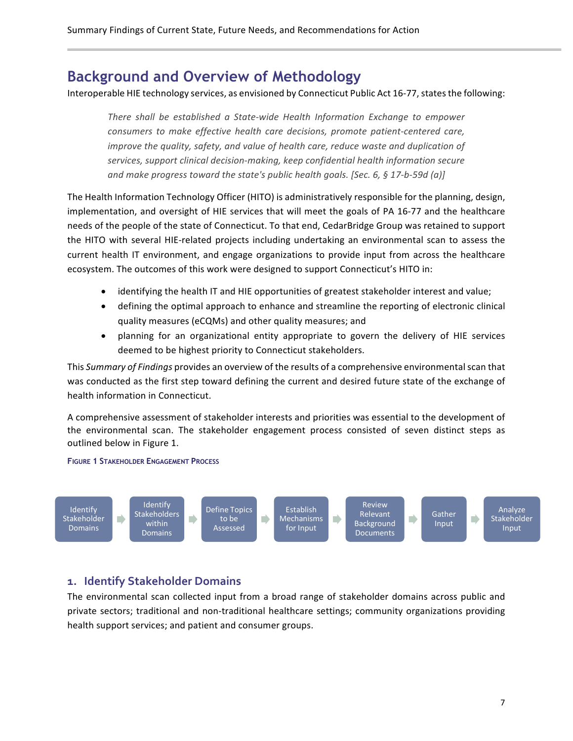## **Background and Overview of Methodology**

Interoperable HIE technology services, as envisioned by Connecticut Public Act 16-77, states the following:

*There shall be established a State-wide Health Information Exchange to empower consumers to make effective health care decisions, promote patient-centered care, improve the quality, safety, and value of health care, reduce waste and duplication of services, support clinical decision-making, keep confidential health information secure and make progress toward the state's public health goals. [Sec. 6, § 17-b-59d (a)]*

The Health Information Technology Officer (HITO) is administratively responsible for the planning, design, implementation, and oversight of HIE services that will meet the goals of PA 16-77 and the healthcare needs of the people of the state of Connecticut. To that end, CedarBridge Group was retained to support the HITO with several HIE-related projects including undertaking an environmental scan to assess the current health IT environment, and engage organizations to provide input from across the healthcare ecosystem. The outcomes of this work were designed to support Connecticut's HITO in:

- identifying the health IT and HIE opportunities of greatest stakeholder interest and value;
- defining the optimal approach to enhance and streamline the reporting of electronic clinical quality measures (eCQMs) and other quality measures; and
- planning for an organizational entity appropriate to govern the delivery of HIE services deemed to be highest priority to Connecticut stakeholders.

This *Summary of Findings* provides an overview of the results of a comprehensive environmentalscan that was conducted as the first step toward defining the current and desired future state of the exchange of health information in Connecticut.

A comprehensive assessment of stakeholder interests and priorities was essential to the development of the environmental scan. The stakeholder engagement process consisted of seven distinct steps as outlined below in Figure 1.

**FIGURE 1 STAKEHOLDER ENGAGEMENT PROCESS**



#### **1. Identify Stakeholder Domains**

The environmental scan collected input from a broad range of stakeholder domains across public and private sectors; traditional and non-traditional healthcare settings; community organizations providing health support services; and patient and consumer groups.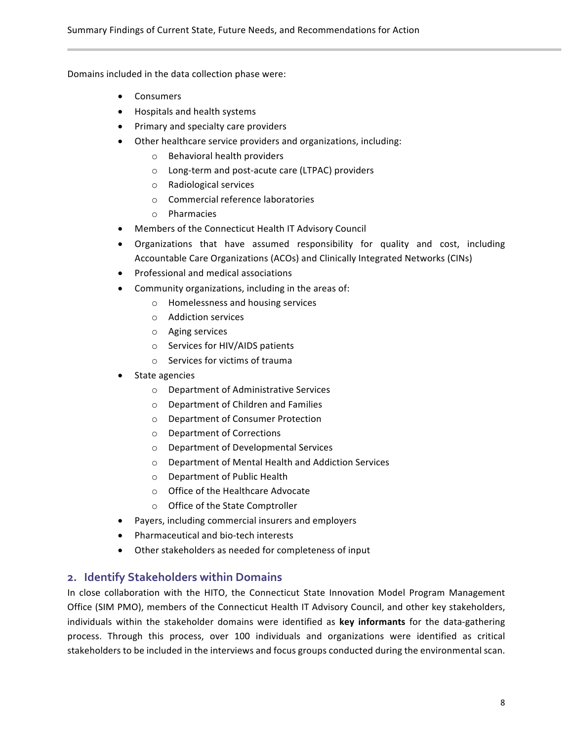Domains included in the data collection phase were:

- Consumers
- Hospitals and health systems
- Primary and specialty care providers
- Other healthcare service providers and organizations, including:
	- o Behavioral health providers
	- o Long-term and post-acute care (LTPAC) providers
	- o Radiological services
	- o Commercial reference laboratories
	- o Pharmacies
- Members of the Connecticut Health IT Advisory Council
- Organizations that have assumed responsibility for quality and cost, including Accountable Care Organizations (ACOs) and Clinically Integrated Networks (CINs)
- Professional and medical associations
- Community organizations, including in the areas of:
	- o Homelessness and housing services
	- o Addiction services
	- o Aging services
	- o Services for HIV/AIDS patients
	- o Services for victims of trauma
- State agencies
	- o Department of Administrative Services
	- o Department of Children and Families
	- o Department of Consumer Protection
	- o Department of Corrections
	- o Department of Developmental Services
	- o Department of Mental Health and Addiction Services
	- o Department of Public Health
	- o Office of the Healthcare Advocate
	- o Office of the State Comptroller
- Payers, including commercial insurers and employers
- Pharmaceutical and bio-tech interests
- Other stakeholders as needed for completeness of input

#### **2. Identify Stakeholders within Domains**

In close collaboration with the HITO, the Connecticut State Innovation Model Program Management Office (SIM PMO), members of the Connecticut Health IT Advisory Council, and other key stakeholders, individuals within the stakeholder domains were identified as **key informants** for the data-gathering process. Through this process, over 100 individuals and organizations were identified as critical stakeholders to be included in the interviews and focus groups conducted during the environmental scan.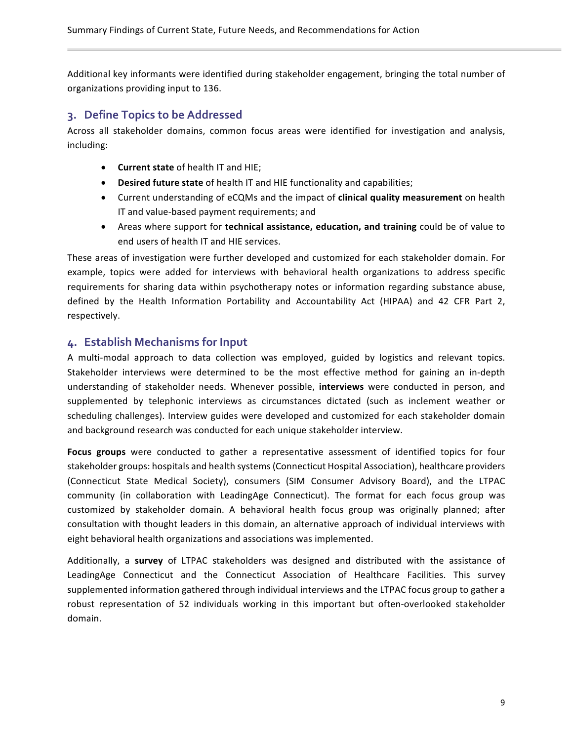Additional key informants were identified during stakeholder engagement, bringing the total number of organizations providing input to 136.

#### **3. Define Topics to be Addressed**

Across all stakeholder domains, common focus areas were identified for investigation and analysis, including:

- **Current state** of health IT and HIE;
- **Desired future state** of health IT and HIE functionality and capabilities;
- Current understanding of eCQMs and the impact of **clinical quality measurement** on health IT and value-based payment requirements; and
- Areas where support for **technical assistance, education, and training** could be of value to end users of health IT and HIE services.

These areas of investigation were further developed and customized for each stakeholder domain. For example, topics were added for interviews with behavioral health organizations to address specific requirements for sharing data within psychotherapy notes or information regarding substance abuse, defined by the Health Information Portability and Accountability Act (HIPAA) and 42 CFR Part 2, respectively.

#### **4. Establish Mechanisms for Input**

A multi-modal approach to data collection was employed, guided by logistics and relevant topics. Stakeholder interviews were determined to be the most effective method for gaining an in-depth understanding of stakeholder needs. Whenever possible, **interviews** were conducted in person, and supplemented by telephonic interviews as circumstances dictated (such as inclement weather or scheduling challenges). Interview guides were developed and customized for each stakeholder domain and background research was conducted for each unique stakeholder interview.

**Focus groups** were conducted to gather a representative assessment of identified topics for four stakeholder groups: hospitals and health systems(Connecticut Hospital Association), healthcare providers (Connecticut State Medical Society), consumers (SIM Consumer Advisory Board), and the LTPAC community (in collaboration with LeadingAge Connecticut). The format for each focus group was customized by stakeholder domain. A behavioral health focus group was originally planned; after consultation with thought leaders in this domain, an alternative approach of individual interviews with eight behavioral health organizations and associations was implemented.

Additionally, a **survey** of LTPAC stakeholders was designed and distributed with the assistance of LeadingAge Connecticut and the Connecticut Association of Healthcare Facilities. This survey supplemented information gathered through individual interviews and the LTPAC focus group to gather a robust representation of 52 individuals working in this important but often-overlooked stakeholder domain.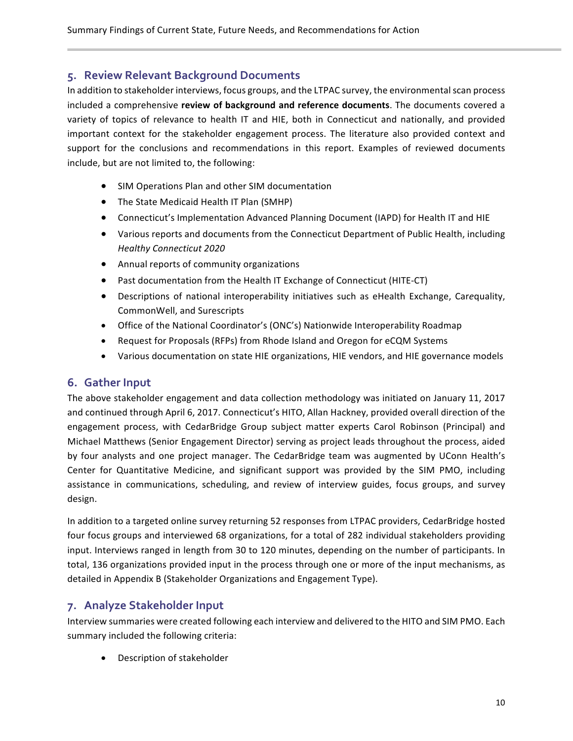#### **5. Review Relevant Background Documents**

In addition to stakeholder interviews, focus groups, and the LTPAC survey, the environmental scan process included a comprehensive **review of background and reference documents**. The documents covered a variety of topics of relevance to health IT and HIE, both in Connecticut and nationally, and provided important context for the stakeholder engagement process. The literature also provided context and support for the conclusions and recommendations in this report. Examples of reviewed documents include, but are not limited to, the following:

- SIM Operations Plan and other SIM documentation
- The State Medicaid Health IT Plan (SMHP)
- Connecticut's Implementation Advanced Planning Document (IAPD) for Health IT and HIE
- Various reports and documents from the Connecticut Department of Public Health, including *Healthy Connecticut 2020*
- Annual reports of community organizations
- Past documentation from the Health IT Exchange of Connecticut (HITE-CT)
- Descriptions of national interoperability initiatives such as eHealth Exchange, Car*e*quality, CommonWell, and Surescripts
- Office of the National Coordinator's (ONC's) Nationwide Interoperability Roadmap
- Request for Proposals (RFPs) from Rhode Island and Oregon for eCQM Systems
- Various documentation on state HIE organizations, HIE vendors, and HIE governance models

#### **6. Gather Input**

The above stakeholder engagement and data collection methodology was initiated on January 11, 2017 and continued through April 6, 2017. Connecticut's HITO, Allan Hackney, provided overall direction of the engagement process, with CedarBridge Group subject matter experts Carol Robinson (Principal) and Michael Matthews (Senior Engagement Director) serving as project leads throughout the process, aided by four analysts and one project manager. The CedarBridge team was augmented by UConn Health's Center for Quantitative Medicine, and significant support was provided by the SIM PMO, including assistance in communications, scheduling, and review of interview guides, focus groups, and survey design.

In addition to a targeted online survey returning 52 responses from LTPAC providers, CedarBridge hosted four focus groups and interviewed 68 organizations, for a total of 282 individual stakeholders providing input. Interviews ranged in length from 30 to 120 minutes, depending on the number of participants. In total, 136 organizations provided input in the process through one or more of the input mechanisms, as detailed in Appendix B (Stakeholder Organizations and Engagement Type).

#### **7. Analyze Stakeholder Input**

Interview summaries were created following each interview and delivered to the HITO and SIM PMO. Each summary included the following criteria:

• Description of stakeholder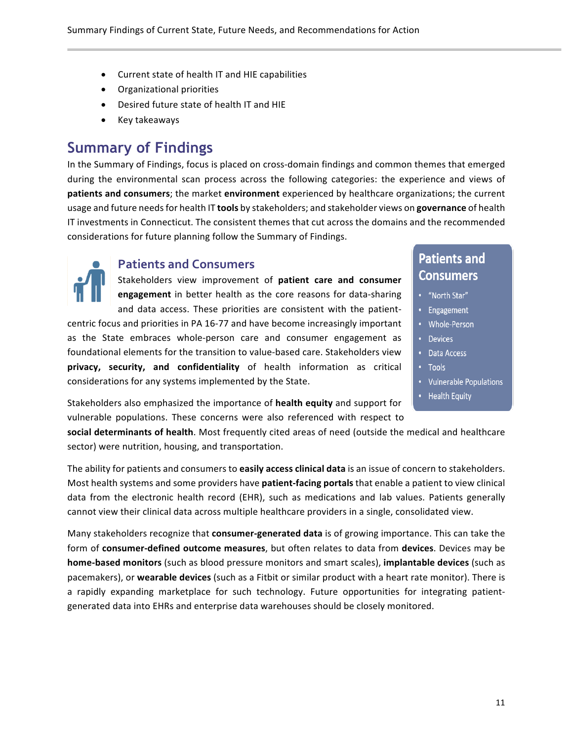- Current state of health IT and HIE capabilities
- Organizational priorities
- Desired future state of health IT and HIE
- Key takeaways

# **Summary of Findings**

In the Summary of Findings, focus is placed on cross-domain findings and common themes that emerged during the environmental scan process across the following categories: the experience and views of **patients and consumers**; the market **environment** experienced by healthcare organizations; the current usage and future needsfor health IT **tools** by stakeholders; and stakeholder views on **governance** of health IT investments in Connecticut. The consistent themes that cut across the domains and the recommended considerations for future planning follow the Summary of Findings.

#### **Patients and Consumers**

Stakeholders view improvement of **patient care and consumer** engagement in better health as the core reasons for data-sharing and data access. These priorities are consistent with the patientcentric focus and priorities in PA 16-77 and have become increasingly important as the State embraces whole-person care and consumer engagement as foundational elements for the transition to value-based care. Stakeholders view **privacy, security, and confidentiality** of health information as critical considerations for any systems implemented by the State.

## **Patients and Consumers**

- "North Star"
- · Engagement
- Whole-Person
- Devices
	- Data Access
	- Tools
	- Vulnerable Populations
	- Health Equity

Stakeholders also emphasized the importance of **health equity** and support for vulnerable populations. These concerns were also referenced with respect to

**social determinants of health**. Most frequently cited areas of need (outside the medical and healthcare sector) were nutrition, housing, and transportation.

The ability for patients and consumers to **easily access clinical data** is an issue of concern to stakeholders. Most health systems and some providers have **patient-facing portals** that enable a patient to view clinical data from the electronic health record (EHR), such as medications and lab values. Patients generally cannot view their clinical data across multiple healthcare providers in a single, consolidated view.

Many stakeholders recognize that **consumer-generated data** is of growing importance. This can take the form of **consumer-defined outcome measures**, but often relates to data from **devices**. Devices may be **home-based monitors** (such as blood pressure monitors and smart scales), **implantable devices** (such as pacemakers), or **wearable devices** (such as a Fitbit or similar product with a heart rate monitor). There is a rapidly expanding marketplace for such technology. Future opportunities for integrating patientgenerated data into EHRs and enterprise data warehouses should be closely monitored.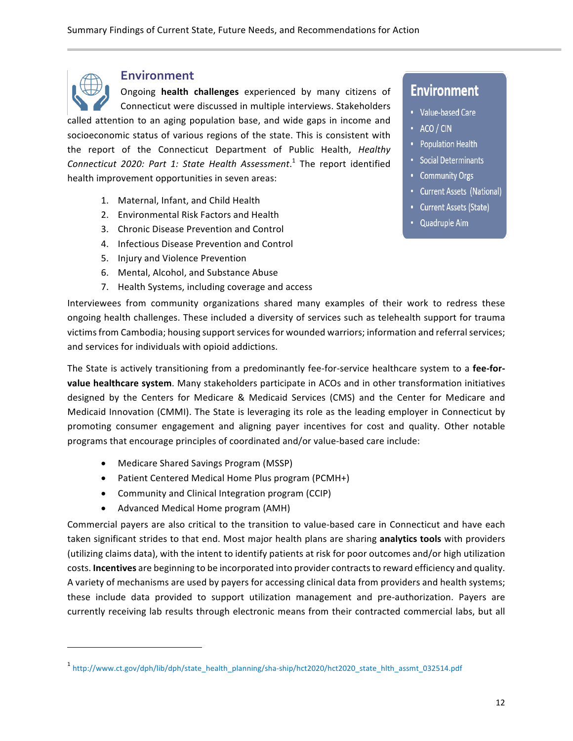

#### **Environment**

Ongoing **health challenges** experienced by many citizens of Connecticut were discussed in multiple interviews. Stakeholders called attention to an aging population base, and wide gaps in income and socioeconomic status of various regions of the state. This is consistent with the report of the Connecticut Department of Public Health, *Healthy Connecticut 2020: Part 1: State Health Assessment*. <sup>1</sup> The report identified health improvement opportunities in seven areas:

- 1. Maternal, Infant, and Child Health
- 2. Environmental Risk Factors and Health
- 3. Chronic Disease Prevention and Control
- 4. Infectious Disease Prevention and Control
- 5. Injury and Violence Prevention
- 6. Mental, Alcohol, and Substance Abuse
- 7. Health Systems, including coverage and access

## **Environment**

- Value-based Care
- $\cdot$  ACO / CIN
- Population Health
- Social Determinants
- Community Orgs
- Current Assets (National)
- Current Assets (State)
- Quadruple Aim

ongoing health challenges. These included a diversity of services such as telehealth support for trauma victims from Cambodia; housing support services for wounded warriors; information and referral services; and services for individuals with opioid addictions.

Interviewees from community organizations shared many examples of their work to redress these

The State is actively transitioning from a predominantly fee-for-service healthcare system to a **fee-forvalue healthcare system**. Many stakeholders participate in ACOs and in other transformation initiatives designed by the Centers for Medicare & Medicaid Services (CMS) and the Center for Medicare and Medicaid Innovation (CMMI). The State is leveraging its role as the leading employer in Connecticut by promoting consumer engagement and aligning payer incentives for cost and quality. Other notable programs that encourage principles of coordinated and/or value-based care include:

- Medicare Shared Savings Program (MSSP)
- Patient Centered Medical Home Plus program (PCMH+)
- Community and Clinical Integration program (CCIP)
- Advanced Medical Home program (AMH)

 

Commercial payers are also critical to the transition to value-based care in Connecticut and have each taken significant strides to that end. Most major health plans are sharing **analytics tools** with providers (utilizing claims data), with the intent to identify patients at risk for poor outcomes and/or high utilization costs. **Incentives** are beginning to be incorporated into provider contractsto reward efficiency and quality. A variety of mechanisms are used by payers for accessing clinical data from providers and health systems; these include data provided to support utilization management and pre-authorization. Payers are currently receiving lab results through electronic means from their contracted commercial labs, but all

<sup>1</sup> http://www.ct.gov/dph/lib/dph/state\_health\_planning/sha-ship/hct2020/hct2020\_state\_hlth\_assmt\_032514.pdf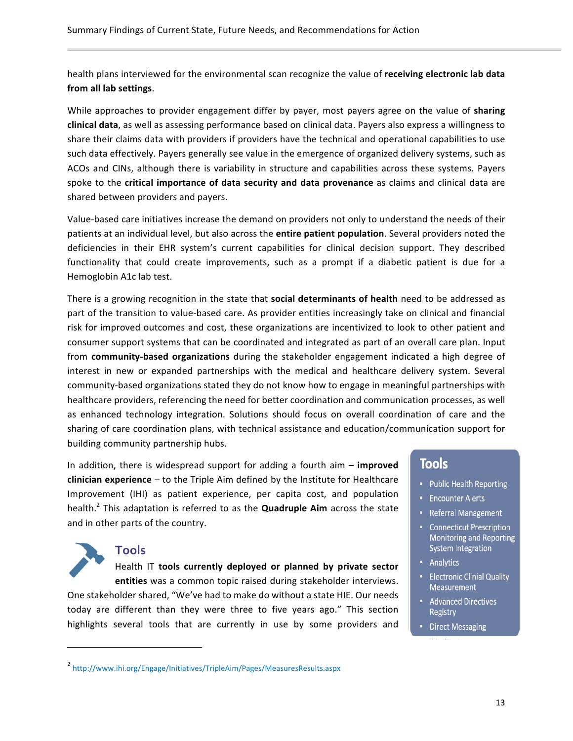health plans interviewed for the environmental scan recognize the value of **receiving electronic lab data from all lab settings**.

While approaches to provider engagement differ by payer, most payers agree on the value of **sharing clinical data**, as well as assessing performance based on clinical data. Payers also express a willingness to share their claims data with providers if providers have the technical and operational capabilities to use such data effectively. Payers generally see value in the emergence of organized delivery systems, such as ACOs and CINs, although there is variability in structure and capabilities across these systems. Payers spoke to the **critical importance of data security and data provenance** as claims and clinical data are shared between providers and payers.

Value-based care initiatives increase the demand on providers not only to understand the needs of their patients at an individual level, but also across the **entire patient population**. Several providers noted the deficiencies in their EHR system's current capabilities for clinical decision support. They described functionality that could create improvements, such as a prompt if a diabetic patient is due for a Hemoglobin A1c lab test.

There is a growing recognition in the state that **social determinants of health** need to be addressed as part of the transition to value-based care. As provider entities increasingly take on clinical and financial risk for improved outcomes and cost, these organizations are incentivized to look to other patient and consumer support systems that can be coordinated and integrated as part of an overall care plan. Input from **community-based organizations** during the stakeholder engagement indicated a high degree of interest in new or expanded partnerships with the medical and healthcare delivery system. Several community-based organizations stated they do not know how to engage in meaningful partnerships with healthcare providers, referencing the need for better coordination and communication processes, as well as enhanced technology integration. Solutions should focus on overall coordination of care and the sharing of care coordination plans, with technical assistance and education/communication support for building community partnership hubs.

In addition, there is widespread support for adding a fourth aim – **improved clinician experience** – to the Triple Aim defined by the Institute for Healthcare Improvement (IHI) as patient experience, per capita cost, and population health. <sup>2</sup> This adaptation is referred to as the **Quadruple Aim** across the state and in other parts of the country.

#### **Tools**

 

Health IT **tools currently deployed or planned by private sector entities** was a common topic raised during stakeholder interviews. One stakeholder shared, "We've had to make do without a state HIE. Our needs today are different than they were three to five years ago." This section highlights several tools that are currently in use by some providers and

### **Tools**

- Public Health Reporting
- Encounter Alerts
- Referral Management
- Connecticut Prescription Monitoring and Reporting System Integration
- Analytics
- **Electronic Clinial Quality** Measurement
- Advanced Directives Registry
- Direct Messaging

<sup>2</sup> http://www.ihi.org/Engage/Initiatives/TripleAim/Pages/MeasuresResults.aspx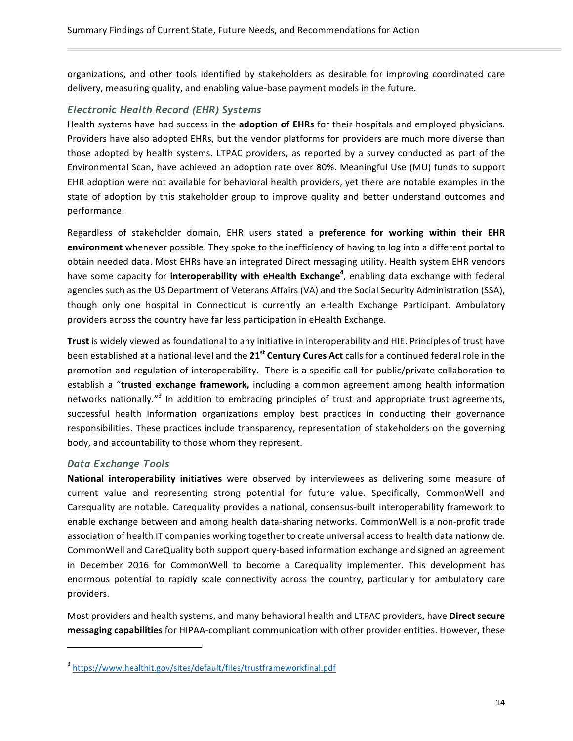organizations, and other tools identified by stakeholders as desirable for improving coordinated care delivery, measuring quality, and enabling value-base payment models in the future.

#### *Electronic Health Record (EHR) Systems*

Health systems have had success in the **adoption of EHRs** for their hospitals and employed physicians. Providers have also adopted EHRs, but the vendor platforms for providers are much more diverse than those adopted by health systems. LTPAC providers, as reported by a survey conducted as part of the Environmental Scan, have achieved an adoption rate over 80%. Meaningful Use (MU) funds to support EHR adoption were not available for behavioral health providers, yet there are notable examples in the state of adoption by this stakeholder group to improve quality and better understand outcomes and performance.

Regardless of stakeholder domain, EHR users stated a **preference for working within their EHR environment** whenever possible. They spoke to the inefficiency of having to log into a different portal to obtain needed data. Most EHRs have an integrated Direct messaging utility. Health system EHR vendors have some capacity for **interoperability with eHealth Exchange<sup>4</sup>** , enabling data exchange with federal agencies such as the US Department of Veterans Affairs (VA) and the Social Security Administration (SSA), though only one hospital in Connecticut is currently an eHealth Exchange Participant. Ambulatory providers across the country have far less participation in eHealth Exchange.

Trust is widely viewed as foundational to any initiative in interoperability and HIE. Principles of trust have been established at a national level and the 21<sup>st</sup> Century Cures Act calls for a continued federal role in the promotion and regulation of interoperability. There is a specific call for public/private collaboration to establish a "trusted exchange framework, including a common agreement among health information networks nationally."<sup>3</sup> In addition to embracing principles of trust and appropriate trust agreements, successful health information organizations employ best practices in conducting their governance responsibilities. These practices include transparency, representation of stakeholders on the governing body, and accountability to those whom they represent.

#### *Data Exchange Tools*

 

**National interoperability initiatives** were observed by interviewees as delivering some measure of current value and representing strong potential for future value. Specifically, CommonWell and Carequality are notable. Carequality provides a national, consensus-built interoperability framework to enable exchange between and among health data-sharing networks. CommonWell is a non-profit trade association of health IT companies working together to create universal access to health data nationwide. CommonWell and CareQuality both support query-based information exchange and signed an agreement in December 2016 for CommonWell to become a Car*e*quality implementer. This development has enormous potential to rapidly scale connectivity across the country, particularly for ambulatory care providers.

Most providers and health systems, and many behavioral health and LTPAC providers, have **Direct secure messaging capabilities** for HIPAA-compliant communication with other provider entities. However, these

<sup>3</sup> https://www.healthit.gov/sites/default/files/trustframeworkfinal.pdf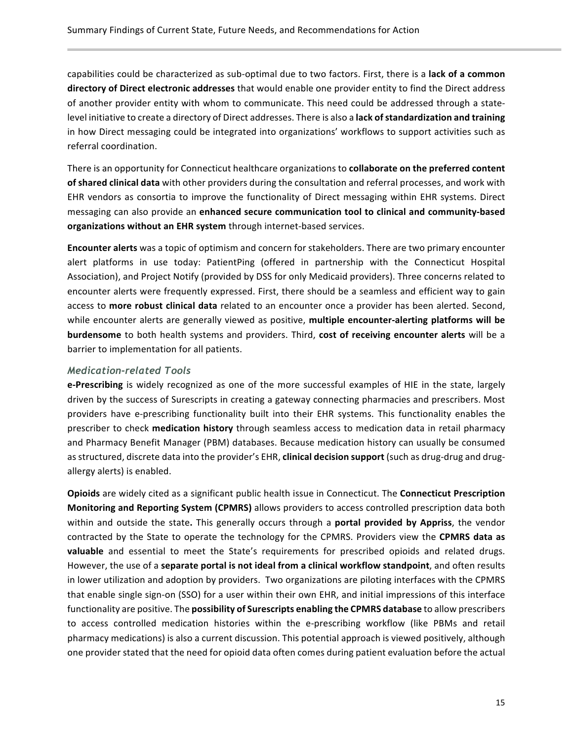capabilities could be characterized as sub-optimal due to two factors. First, there is a **lack of a common directory of Direct electronic addresses** that would enable one provider entity to find the Direct address of another provider entity with whom to communicate. This need could be addressed through a statelevel initiative to create a directory of Direct addresses. There is also a **lack ofstandardization and training** in how Direct messaging could be integrated into organizations' workflows to support activities such as referral coordination.

There is an opportunity for Connecticut healthcare organizations to **collaborate on the preferred content of shared clinical data** with other providers during the consultation and referral processes, and work with EHR vendors as consortia to improve the functionality of Direct messaging within EHR systems. Direct messaging can also provide an **enhanced secure communication tool to clinical and community-based organizations without an EHR system** through internet-based services.

**Encounter alerts** was a topic of optimism and concern for stakeholders. There are two primary encounter alert platforms in use today: PatientPing (offered in partnership with the Connecticut Hospital Association), and Project Notify (provided by DSS for only Medicaid providers). Three concerns related to encounter alerts were frequently expressed. First, there should be a seamless and efficient way to gain access to **more robust clinical data** related to an encounter once a provider has been alerted. Second, while encounter alerts are generally viewed as positive, **multiple encounter-alerting platforms will be burdensome** to both health systems and providers. Third, **cost of receiving encounter alerts** will be a barrier to implementation for all patients.

#### *Medication-related Tools*

**e-Prescribing** is widely recognized as one of the more successful examples of HIE in the state, largely driven by the success of Surescripts in creating a gateway connecting pharmacies and prescribers. Most providers have e-prescribing functionality built into their EHR systems. This functionality enables the prescriber to check **medication history** through seamless access to medication data in retail pharmacy and Pharmacy Benefit Manager (PBM) databases. Because medication history can usually be consumed as structured, discrete data into the provider's EHR, **clinical decision support** (such as drug-drug and drugallergy alerts) is enabled.

**Opioids** are widely cited as a significant public health issue in Connecticut. The **Connecticut Prescription Monitoring and Reporting System (CPMRS)** allows providers to access controlled prescription data both within and outside the state. This generally occurs through a **portal provided by Appriss**, the vendor contracted by the State to operate the technology for the CPMRS. Providers view the **CPMRS data as valuable** and essential to meet the State's requirements for prescribed opioids and related drugs. However, the use of a separate portal is not ideal from a clinical workflow standpoint, and often results in lower utilization and adoption by providers. Two organizations are piloting interfaces with the CPMRS that enable single sign-on (SSO) for a user within their own EHR, and initial impressions of this interface functionality are positive. The **possibility of Surescripts enabling the CPMRS database** to allow prescribers to access controlled medication histories within the e-prescribing workflow (like PBMs and retail pharmacy medications) is also a current discussion. This potential approach is viewed positively, although one provider stated that the need for opioid data often comes during patient evaluation before the actual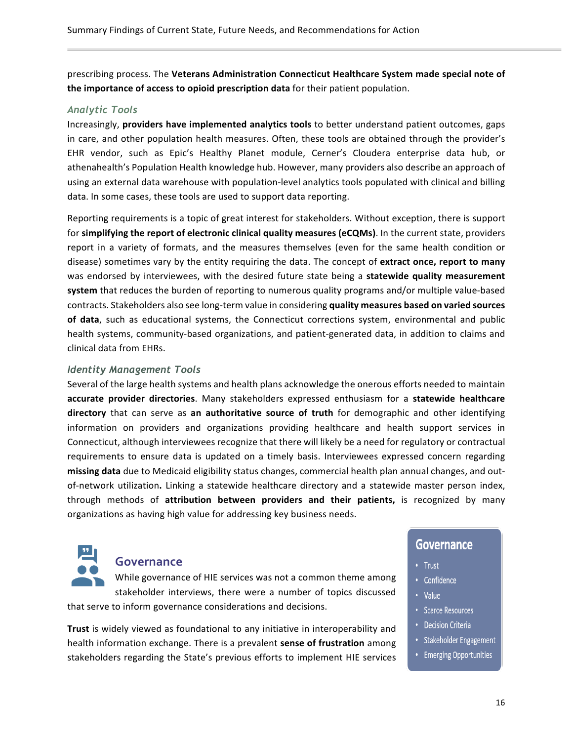prescribing process. The Veterans Administration Connecticut Healthcare System made special note of **the importance of access to opioid prescription data** for their patient population.

#### *Analytic Tools*

Increasingly, **providers have implemented analytics tools** to better understand patient outcomes, gaps in care, and other population health measures. Often, these tools are obtained through the provider's EHR vendor, such as Epic's Healthy Planet module, Cerner's Cloudera enterprise data hub, or athenahealth's Population Health knowledge hub. However, many providers also describe an approach of using an external data warehouse with population-level analytics tools populated with clinical and billing data. In some cases, these tools are used to support data reporting.

Reporting requirements is a topic of great interest for stakeholders. Without exception, there is support for simplifying the report of electronic clinical quality measures (eCQMs). In the current state, providers report in a variety of formats, and the measures themselves (even for the same health condition or disease) sometimes vary by the entity requiring the data. The concept of extract once, report to many was endorsed by interviewees, with the desired future state being a statewide quality measurement **system** that reduces the burden of reporting to numerous quality programs and/or multiple value-based contracts. Stakeholders also see long-term value in considering quality measures based on varied sources of data, such as educational systems, the Connecticut corrections system, environmental and public health systems, community-based organizations, and patient-generated data, in addition to claims and clinical data from EHRs.

#### *Identity Management Tools*

Several of the large health systems and health plans acknowledge the onerous efforts needed to maintain **accurate provider directories**. Many stakeholders expressed enthusiasm for a **statewide healthcare directory** that can serve as an authoritative source of truth for demographic and other identifying information on providers and organizations providing healthcare and health support services in Connecticut, although interviewees recognize that there will likely be a need for regulatory or contractual requirements to ensure data is updated on a timely basis. Interviewees expressed concern regarding missing data due to Medicaid eligibility status changes, commercial health plan annual changes, and outof-network utilization. Linking a statewide healthcare directory and a statewide master person index, through methods of **attribution between providers and their patients,** is recognized by many organizations as having high value for addressing key business needs.



#### **Governance**

While governance of HIE services was not a common theme among stakeholder interviews, there were a number of topics discussed that serve to inform governance considerations and decisions.

**Trust** is widely viewed as foundational to any initiative in interoperability and health information exchange. There is a prevalent sense of frustration among stakeholders regarding the State's previous efforts to implement HIE services

#### **Governance**

- Trust
- Confidence
- Value
- Scarce Resources
- Decision Criteria
- Stakeholder Engagement
- Emerging Opportunities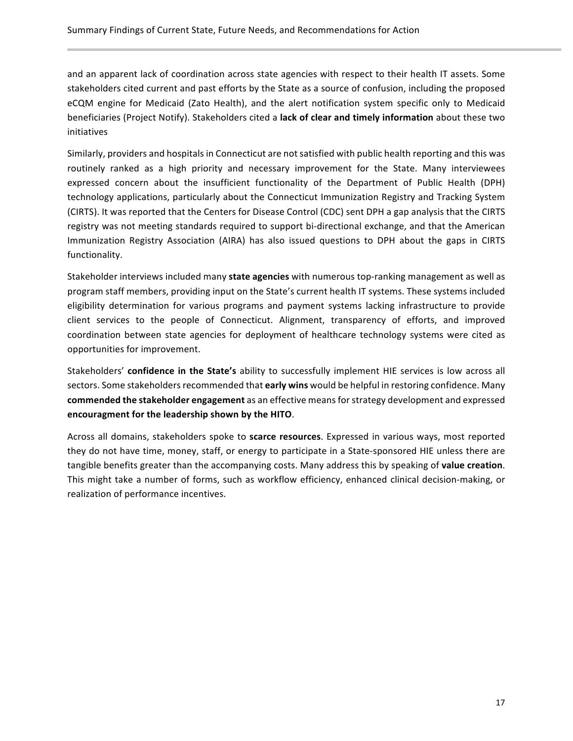and an apparent lack of coordination across state agencies with respect to their health IT assets. Some stakeholders cited current and past efforts by the State as a source of confusion, including the proposed eCQM engine for Medicaid (Zato Health), and the alert notification system specific only to Medicaid beneficiaries (Project Notify). Stakeholders cited a lack of clear and timely information about these two initiatives

Similarly, providers and hospitals in Connecticut are not satisfied with public health reporting and this was routinely ranked as a high priority and necessary improvement for the State. Many interviewees expressed concern about the insufficient functionality of the Department of Public Health (DPH) technology applications, particularly about the Connecticut Immunization Registry and Tracking System (CIRTS). It was reported that the Centers for Disease Control (CDC) sent DPH a gap analysis that the CIRTS registry was not meeting standards required to support bi-directional exchange, and that the American Immunization Registry Association (AIRA) has also issued questions to DPH about the gaps in CIRTS functionality.

Stakeholder interviews included many state agencies with numerous top-ranking management as well as program staff members, providing input on the State's current health IT systems. These systems included eligibility determination for various programs and payment systems lacking infrastructure to provide client services to the people of Connecticut. Alignment, transparency of efforts, and improved coordination between state agencies for deployment of healthcare technology systems were cited as opportunities for improvement.

Stakeholders' confidence in the State's ability to successfully implement HIE services is low across all sectors. Some stakeholders recommended that early wins would be helpful in restoring confidence. Many **commended the stakeholder engagement** as an effective means for strategy development and expressed **encouragment for the leadership shown by the HITO**.

Across all domains, stakeholders spoke to scarce resources. Expressed in various ways, most reported they do not have time, money, staff, or energy to participate in a State-sponsored HIE unless there are tangible benefits greater than the accompanying costs. Many address this by speaking of **value creation**. This might take a number of forms, such as workflow efficiency, enhanced clinical decision-making, or realization of performance incentives.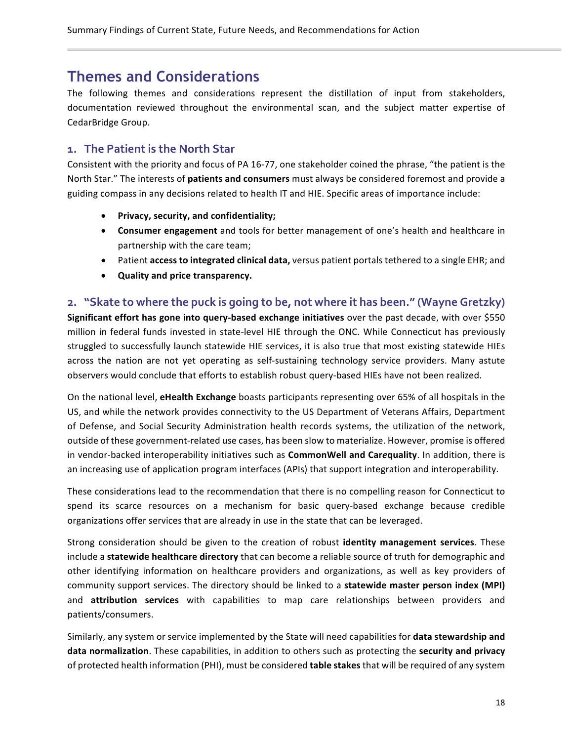# **Themes and Considerations**

The following themes and considerations represent the distillation of input from stakeholders, documentation reviewed throughout the environmental scan, and the subject matter expertise of CedarBridge Group.

#### **1. The Patient is the North Star**

Consistent with the priority and focus of PA 16-77, one stakeholder coined the phrase, "the patient is the North Star." The interests of **patients and consumers** must always be considered foremost and provide a guiding compass in any decisions related to health IT and HIE. Specific areas of importance include:

- **Privacy, security, and confidentiality;**
- **Consumer engagement** and tools for better management of one's health and healthcare in partnership with the care team;
- Patient **access to integrated clinical data,** versus patient portals tethered to a single EHR; and
- **Quality and price transparency.**

#### **2. "Skate to where the puck is going to be, not where it has been." (Wayne Gretzky)**

**Significant effort has gone into query-based exchange initiatives** over the past decade, with over \$550 million in federal funds invested in state-level HIE through the ONC. While Connecticut has previously struggled to successfully launch statewide HIE services, it is also true that most existing statewide HIEs across the nation are not yet operating as self-sustaining technology service providers. Many astute observers would conclude that efforts to establish robust query-based HIEs have not been realized.

On the national level, **eHealth Exchange** boasts participants representing over 65% of all hospitals in the US, and while the network provides connectivity to the US Department of Veterans Affairs, Department of Defense, and Social Security Administration health records systems, the utilization of the network, outside of these government-related use cases, has been slow to materialize. However, promise is offered in vendor-backed interoperability initiatives such as **CommonWell and Car***e***quality**. In addition, there is an increasing use of application program interfaces (APIs) that support integration and interoperability.

These considerations lead to the recommendation that there is no compelling reason for Connecticut to spend its scarce resources on a mechanism for basic query-based exchange because credible organizations offer services that are already in use in the state that can be leveraged.

Strong consideration should be given to the creation of robust **identity management services**. These include a **statewide healthcare directory** that can become a reliable source of truth for demographic and other identifying information on healthcare providers and organizations, as well as key providers of community support services. The directory should be linked to a statewide master person index (MPI) and **attribution services** with capabilities to map care relationships between providers and patients/consumers.

Similarly, any system or service implemented by the State will need capabilities for **data stewardship and** data normalization. These capabilities, in addition to others such as protecting the security and privacy of protected health information (PHI), must be considered **table stakes** that will be required of any system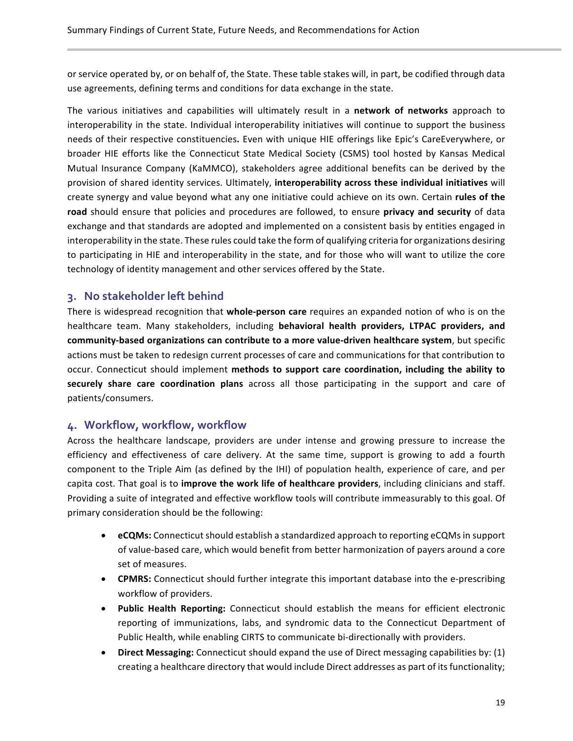or service operated by, or on behalf of, the State. These table stakes will, in part, be codified through data use agreements, defining terms and conditions for data exchange in the state.

The various initiatives and capabilities will ultimately result in a **network of networks** approach to interoperability in the state. Individual interoperability initiatives will continue to support the business needs of their respective constituencies. Even with unique HIE offerings like Epic's CareEverywhere, or broader HIE efforts like the Connecticut State Medical Society (CSMS) tool hosted by Kansas Medical Mutual Insurance Company (KaMMCO), stakeholders agree additional benefits can be derived by the provision of shared identity services. Ultimately, interoperability across these individual initiatives will create synergy and value beyond what any one initiative could achieve on its own. Certain *rules* of the road should ensure that policies and procedures are followed, to ensure privacy and security of data exchange and that standards are adopted and implemented on a consistent basis by entities engaged in interoperability in the state. These rules could take the form of qualifying criteria for organizations desiring to participating in HIE and interoperability in the state, and for those who will want to utilize the core technology of identity management and other services offered by the State.

#### **3. No stakeholder left behind**

There is widespread recognition that whole-person care requires an expanded notion of who is on the healthcare team. Many stakeholders, including **behavioral health providers, LTPAC providers, and community-based organizations can contribute to a more value-driven healthcare system, but specific** actions must be taken to redesign current processes of care and communications for that contribution to occur. Connecticut should implement methods to support care coordination, including the ability to **securely** share care coordination plans across all those participating in the support and care of patients/consumers. 

#### **4. Workflow, workflow, workflow**

Across the healthcare landscape, providers are under intense and growing pressure to increase the efficiency and effectiveness of care delivery. At the same time, support is growing to add a fourth component to the Triple Aim (as defined by the IHI) of population health, experience of care, and per capita cost. That goal is to *improve the work life of healthcare providers*, including clinicians and staff. Providing a suite of integrated and effective workflow tools will contribute immeasurably to this goal. Of primary consideration should be the following:

- **eCQMs:** Connecticut should establish a standardized approach to reporting eCQMs in support of value-based care, which would benefit from better harmonization of payers around a core set of measures.
- **CPMRS:** Connecticut should further integrate this important database into the e-prescribing workflow of providers.
- **Public Health Reporting:** Connecticut should establish the means for efficient electronic reporting of immunizations, labs, and syndromic data to the Connecticut Department of Public Health, while enabling CIRTS to communicate bi-directionally with providers.
- Direct Messaging: Connecticut should expand the use of Direct messaging capabilities by: (1) creating a healthcare directory that would include Direct addresses as part of its functionality;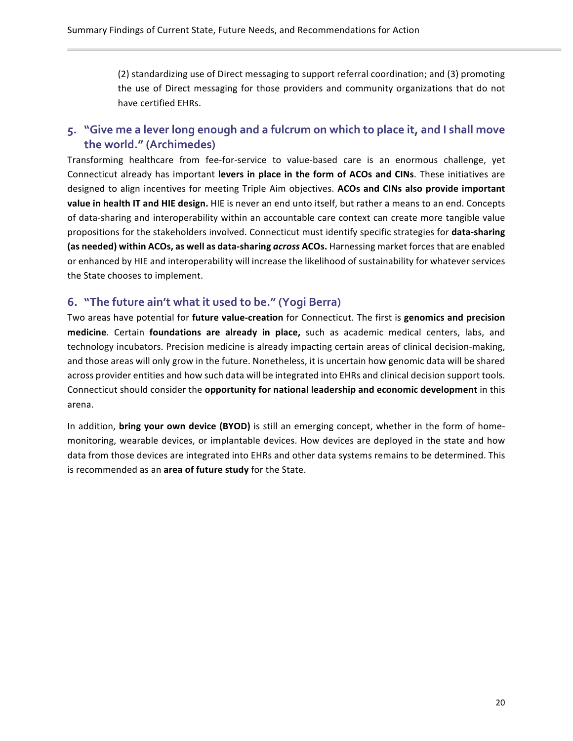(2) standardizing use of Direct messaging to support referral coordination; and (3) promoting the use of Direct messaging for those providers and community organizations that do not have certified EHRs.

#### **5. "Give me a lever long enough and a fulcrum on which to place it, and I shall move the world." (Archimedes)**

Transforming healthcare from fee-for-service to value-based care is an enormous challenge, yet Connecticut already has important **levers in place in the form of ACOs and CINs**. These initiatives are designed to align incentives for meeting Triple Aim objectives. **ACOs and CINs also provide important value in health IT and HIE design.** HIE is never an end unto itself, but rather a means to an end. Concepts of data-sharing and interoperability within an accountable care context can create more tangible value propositions for the stakeholders involved. Connecticut must identify specific strategies for **data-sharing (as needed) within ACOs, as well as data-sharing** *across* **ACOs.** Harnessing market forces that are enabled or enhanced by HIE and interoperability will increase the likelihood of sustainability for whatever services the State chooses to implement.

#### **6. "The future ain't what it used to be." (Yogi Berra)**

Two areas have potential for **future value-creation** for Connecticut. The first is **genomics and precision medicine**. Certain **foundations are already in place,** such as academic medical centers, labs, and technology incubators. Precision medicine is already impacting certain areas of clinical decision-making, and those areas will only grow in the future. Nonetheless, it is uncertain how genomic data will be shared across provider entities and how such data will be integrated into EHRs and clinical decision support tools. Connecticut should consider the **opportunity for national leadership and economic development** in this arena.

In addition, **bring your own device (BYOD)** is still an emerging concept, whether in the form of homemonitoring, wearable devices, or implantable devices. How devices are deployed in the state and how data from those devices are integrated into EHRs and other data systems remains to be determined. This is recommended as an **area of future study** for the State.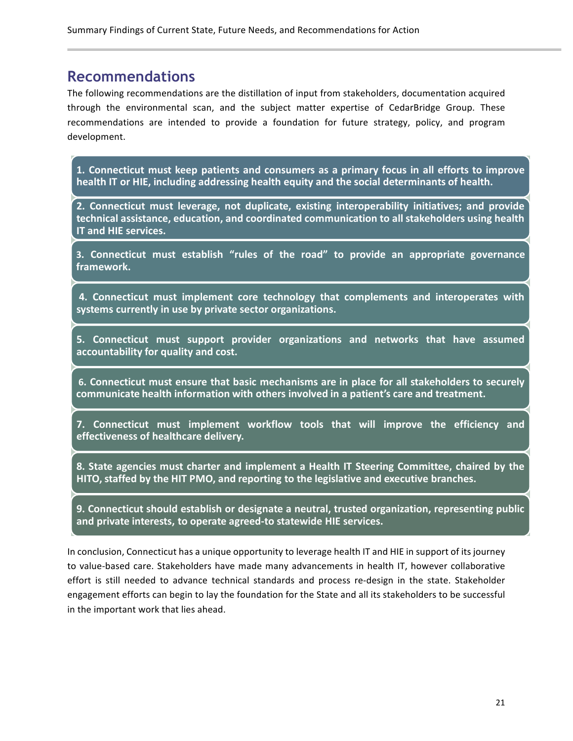# **Recommendations**

The following recommendations are the distillation of input from stakeholders, documentation acquired through the environmental scan, and the subject matter expertise of CedarBridge Group. These recommendations are intended to provide a foundation for future strategy, policy, and program development.

**1. Connecticut must keep patients and consumers as a primary focus in all efforts to improve health IT or HIE, including addressing health equity and the social determinants of health.**

**2. Connecticut must leverage, not duplicate, existing interoperability initiatives; and provide technical assistance, education, and coordinated communication to all stakeholders using health IT and HIE services.**

**3. Connecticut must establish "rules of the road" to provide an appropriate governance framework.**

**4. Connecticut must implement core technology that complements and interoperates with systems currently in use by private sector organizations.**

**5. Connecticut must support provider organizations and networks that have assumed accountability for quality and cost.**

**6. Connecticut must ensure that basic mechanisms are in place for all stakeholders to securely communicate health information with others involved in a patient's care and treatment.**

**7. Connecticut must implement workflow tools that will improve the efficiency and effectiveness of healthcare delivery.**

**8. State agencies must charter and implement a Health IT Steering Committee, chaired by the HITO, staffed by the HIT PMO, and reporting to the legislative and executive branches.**

**9. Connecticut should establish or designate a neutral, trusted organization, representing public and private interests, to operate agreed-to statewide HIE services.**

In conclusion, Connecticut has a unique opportunity to leverage health IT and HIE in support of its journey to value-based care. Stakeholders have made many advancements in health IT, however collaborative effort is still needed to advance technical standards and process re-design in the state. Stakeholder engagement efforts can begin to lay the foundation for the State and all its stakeholders to be successful in the important work that lies ahead.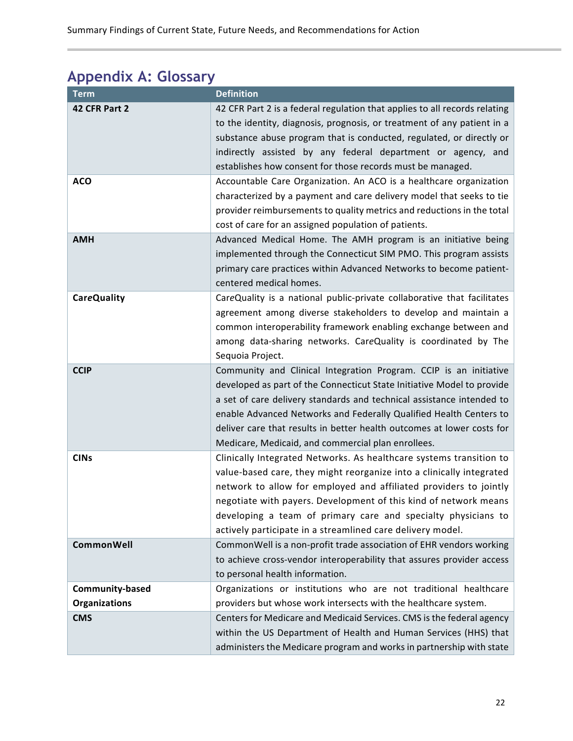# **Appendix A: Glossary**

| <b>Term</b>            | <b>Definition</b>                                                                                                                                                                                                                                                                                                                                                                                                          |  |
|------------------------|----------------------------------------------------------------------------------------------------------------------------------------------------------------------------------------------------------------------------------------------------------------------------------------------------------------------------------------------------------------------------------------------------------------------------|--|
| 42 CFR Part 2          | 42 CFR Part 2 is a federal regulation that applies to all records relating<br>to the identity, diagnosis, prognosis, or treatment of any patient in a<br>substance abuse program that is conducted, regulated, or directly or<br>indirectly assisted by any federal department or agency, and<br>establishes how consent for those records must be managed.                                                                |  |
| <b>ACO</b>             | Accountable Care Organization. An ACO is a healthcare organization<br>characterized by a payment and care delivery model that seeks to tie<br>provider reimbursements to quality metrics and reductions in the total<br>cost of care for an assigned population of patients.                                                                                                                                               |  |
| <b>AMH</b>             | Advanced Medical Home. The AMH program is an initiative being<br>implemented through the Connecticut SIM PMO. This program assists<br>primary care practices within Advanced Networks to become patient-<br>centered medical homes.                                                                                                                                                                                        |  |
| <b>CareQuality</b>     | CareQuality is a national public-private collaborative that facilitates<br>agreement among diverse stakeholders to develop and maintain a<br>common interoperability framework enabling exchange between and<br>among data-sharing networks. CareQuality is coordinated by The<br>Sequoia Project.                                                                                                                         |  |
| <b>CCIP</b>            | Community and Clinical Integration Program. CCIP is an initiative<br>developed as part of the Connecticut State Initiative Model to provide<br>a set of care delivery standards and technical assistance intended to<br>enable Advanced Networks and Federally Qualified Health Centers to<br>deliver care that results in better health outcomes at lower costs for<br>Medicare, Medicaid, and commercial plan enrollees. |  |
| <b>CINs</b>            | Clinically Integrated Networks. As healthcare systems transition to<br>value-based care, they might reorganize into a clinically integrated<br>network to allow for employed and affiliated providers to jointly<br>negotiate with payers. Development of this kind of network means<br>developing a team of primary care and specialty physicians to<br>actively participate in a streamlined care delivery model.        |  |
| <b>CommonWell</b>      | CommonWell is a non-profit trade association of EHR vendors working<br>to achieve cross-vendor interoperability that assures provider access<br>to personal health information.                                                                                                                                                                                                                                            |  |
| <b>Community-based</b> | Organizations or institutions who are not traditional healthcare                                                                                                                                                                                                                                                                                                                                                           |  |
| <b>Organizations</b>   | providers but whose work intersects with the healthcare system.                                                                                                                                                                                                                                                                                                                                                            |  |
| <b>CMS</b>             | Centers for Medicare and Medicaid Services. CMS is the federal agency<br>within the US Department of Health and Human Services (HHS) that<br>administers the Medicare program and works in partnership with state                                                                                                                                                                                                          |  |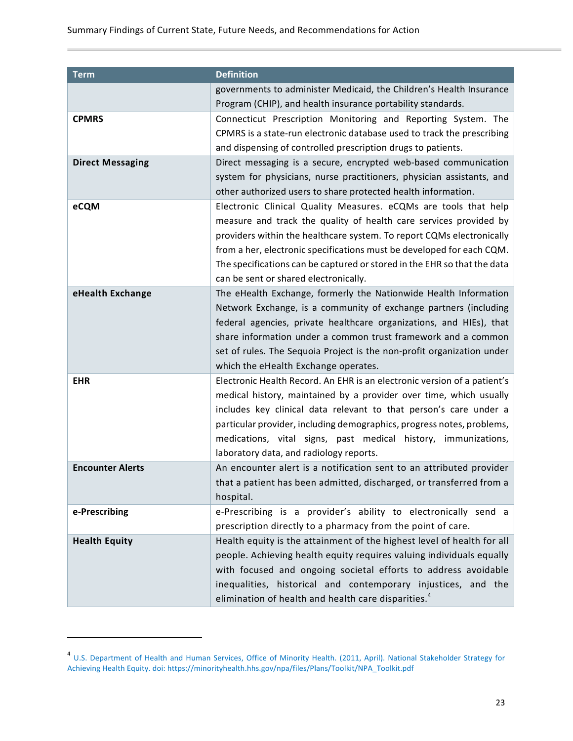| <b>Term</b>             | <b>Definition</b>                                                                                                                                                                                                                                                                                                                                                                                           |
|-------------------------|-------------------------------------------------------------------------------------------------------------------------------------------------------------------------------------------------------------------------------------------------------------------------------------------------------------------------------------------------------------------------------------------------------------|
|                         | governments to administer Medicaid, the Children's Health Insurance<br>Program (CHIP), and health insurance portability standards.                                                                                                                                                                                                                                                                          |
| <b>CPMRS</b>            | Connecticut Prescription Monitoring and Reporting System. The                                                                                                                                                                                                                                                                                                                                               |
|                         | CPMRS is a state-run electronic database used to track the prescribing<br>and dispensing of controlled prescription drugs to patients.                                                                                                                                                                                                                                                                      |
| <b>Direct Messaging</b> | Direct messaging is a secure, encrypted web-based communication<br>system for physicians, nurse practitioners, physician assistants, and<br>other authorized users to share protected health information.                                                                                                                                                                                                   |
| eCQM                    | Electronic Clinical Quality Measures. eCQMs are tools that help<br>measure and track the quality of health care services provided by<br>providers within the healthcare system. To report CQMs electronically<br>from a her, electronic specifications must be developed for each CQM.<br>The specifications can be captured or stored in the EHR so that the data<br>can be sent or shared electronically. |
| eHealth Exchange        | The eHealth Exchange, formerly the Nationwide Health Information<br>Network Exchange, is a community of exchange partners (including<br>federal agencies, private healthcare organizations, and HIEs), that<br>share information under a common trust framework and a common<br>set of rules. The Sequoia Project is the non-profit organization under<br>which the eHealth Exchange operates.              |
| <b>EHR</b>              | Electronic Health Record. An EHR is an electronic version of a patient's<br>medical history, maintained by a provider over time, which usually<br>includes key clinical data relevant to that person's care under a<br>particular provider, including demographics, progress notes, problems,<br>medications, vital signs, past medical history, immunizations,<br>laboratory data, and radiology reports.  |
| <b>Encounter Alerts</b> | An encounter alert is a notification sent to an attributed provider<br>that a patient has been admitted, discharged, or transferred from a<br>hospital.                                                                                                                                                                                                                                                     |
| e-Prescribing           | e-Prescribing is a provider's ability to electronically send a<br>prescription directly to a pharmacy from the point of care.                                                                                                                                                                                                                                                                               |
| <b>Health Equity</b>    | Health equity is the attainment of the highest level of health for all<br>people. Achieving health equity requires valuing individuals equally<br>with focused and ongoing societal efforts to address avoidable<br>inequalities, historical and contemporary injustices, and the<br>elimination of health and health care disparities. <sup>4</sup>                                                        |

 

 $^4$  U.S. Department of Health and Human Services, Office of Minority Health. (2011, April). National Stakeholder Strategy for Achieving Health Equity. doi: https://minorityhealth.hhs.gov/npa/files/Plans/Toolkit/NPA\_Toolkit.pdf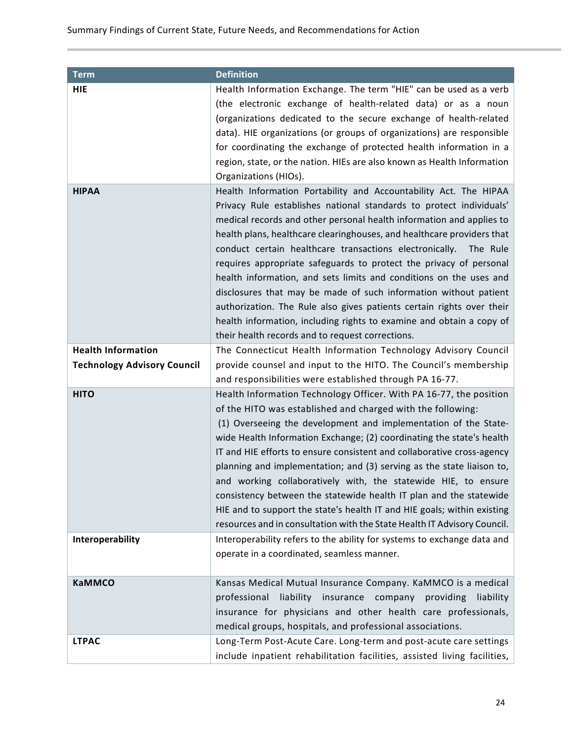| <b>Term</b>                        | <b>Definition</b>                                                                                                                                                                                                                                                                                                                                                                                                                                                                                                                                                                                                                                                                                                                                                                     |  |
|------------------------------------|---------------------------------------------------------------------------------------------------------------------------------------------------------------------------------------------------------------------------------------------------------------------------------------------------------------------------------------------------------------------------------------------------------------------------------------------------------------------------------------------------------------------------------------------------------------------------------------------------------------------------------------------------------------------------------------------------------------------------------------------------------------------------------------|--|
| HIE                                | Health Information Exchange. The term "HIE" can be used as a verb<br>(the electronic exchange of health-related data) or as a noun<br>(organizations dedicated to the secure exchange of health-related<br>data). HIE organizations (or groups of organizations) are responsible<br>for coordinating the exchange of protected health information in a<br>region, state, or the nation. HIEs are also known as Health Information<br>Organizations (HIOs).                                                                                                                                                                                                                                                                                                                            |  |
| <b>HIPAA</b>                       | Health Information Portability and Accountability Act. The HIPAA<br>Privacy Rule establishes national standards to protect individuals'<br>medical records and other personal health information and applies to<br>health plans, healthcare clearinghouses, and healthcare providers that<br>conduct certain healthcare transactions electronically.<br>The Rule<br>requires appropriate safeguards to protect the privacy of personal<br>health information, and sets limits and conditions on the uses and<br>disclosures that may be made of such information without patient<br>authorization. The Rule also gives patients certain rights over their<br>health information, including rights to examine and obtain a copy of<br>their health records and to request corrections. |  |
| <b>Health Information</b>          | The Connecticut Health Information Technology Advisory Council                                                                                                                                                                                                                                                                                                                                                                                                                                                                                                                                                                                                                                                                                                                        |  |
| <b>Technology Advisory Council</b> | provide counsel and input to the HITO. The Council's membership<br>and responsibilities were established through PA 16-77.                                                                                                                                                                                                                                                                                                                                                                                                                                                                                                                                                                                                                                                            |  |
| <b>HITO</b>                        | Health Information Technology Officer. With PA 16-77, the position<br>of the HITO was established and charged with the following:<br>(1) Overseeing the development and implementation of the State-<br>wide Health Information Exchange; (2) coordinating the state's health<br>IT and HIE efforts to ensure consistent and collaborative cross-agency<br>planning and implementation; and (3) serving as the state liaison to,<br>and working collaboratively with, the statewide HIE, to ensure<br>consistency between the statewide health IT plan and the statewide<br>HIE and to support the state's health IT and HIE goals; within existing<br>resources and in consultation with the State Health IT Advisory Council.                                                       |  |
| <b>Interoperability</b>            | Interoperability refers to the ability for systems to exchange data and<br>operate in a coordinated, seamless manner.                                                                                                                                                                                                                                                                                                                                                                                                                                                                                                                                                                                                                                                                 |  |
| <b>KaMMCO</b>                      | Kansas Medical Mutual Insurance Company. KaMMCO is a medical<br>professional<br>liability insurance company<br>providing<br>liability<br>insurance for physicians and other health care professionals,<br>medical groups, hospitals, and professional associations.                                                                                                                                                                                                                                                                                                                                                                                                                                                                                                                   |  |
| <b>LTPAC</b>                       | Long-Term Post-Acute Care. Long-term and post-acute care settings<br>include inpatient rehabilitation facilities, assisted living facilities,                                                                                                                                                                                                                                                                                                                                                                                                                                                                                                                                                                                                                                         |  |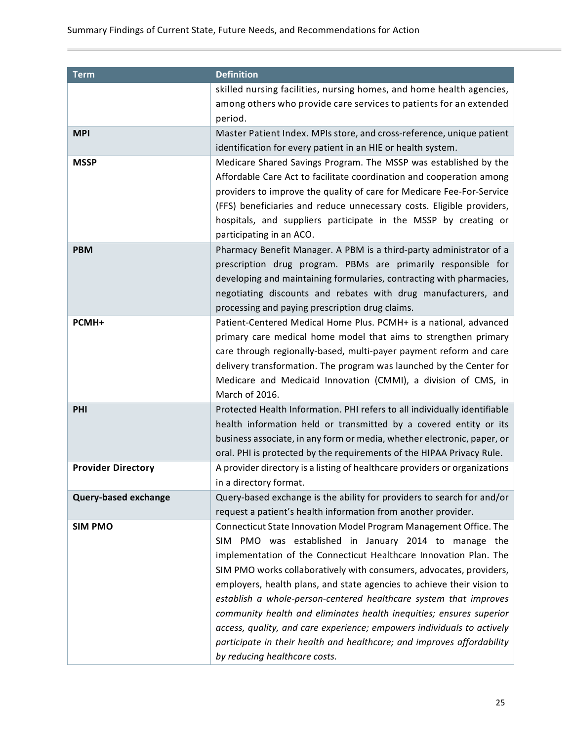| <b>Term</b>                 | <b>Definition</b>                                                                                    |  |  |  |
|-----------------------------|------------------------------------------------------------------------------------------------------|--|--|--|
|                             | skilled nursing facilities, nursing homes, and home health agencies,                                 |  |  |  |
|                             | among others who provide care services to patients for an extended                                   |  |  |  |
|                             | period.                                                                                              |  |  |  |
| <b>MPI</b>                  | Master Patient Index. MPIs store, and cross-reference, unique patient                                |  |  |  |
|                             | identification for every patient in an HIE or health system.                                         |  |  |  |
| <b>MSSP</b>                 | Medicare Shared Savings Program. The MSSP was established by the                                     |  |  |  |
|                             | Affordable Care Act to facilitate coordination and cooperation among                                 |  |  |  |
|                             | providers to improve the quality of care for Medicare Fee-For-Service                                |  |  |  |
|                             | (FFS) beneficiaries and reduce unnecessary costs. Eligible providers,                                |  |  |  |
|                             | hospitals, and suppliers participate in the MSSP by creating or                                      |  |  |  |
|                             | participating in an ACO.                                                                             |  |  |  |
| <b>PBM</b>                  | Pharmacy Benefit Manager. A PBM is a third-party administrator of a                                  |  |  |  |
|                             | prescription drug program. PBMs are primarily responsible for                                        |  |  |  |
|                             | developing and maintaining formularies, contracting with pharmacies,                                 |  |  |  |
|                             | negotiating discounts and rebates with drug manufacturers, and                                       |  |  |  |
|                             | processing and paying prescription drug claims.                                                      |  |  |  |
| PCMH+                       | Patient-Centered Medical Home Plus. PCMH+ is a national, advanced                                    |  |  |  |
|                             | primary care medical home model that aims to strengthen primary                                      |  |  |  |
|                             | care through regionally-based, multi-payer payment reform and care                                   |  |  |  |
|                             | delivery transformation. The program was launched by the Center for                                  |  |  |  |
|                             | Medicare and Medicaid Innovation (CMMI), a division of CMS, in<br>March of 2016.                     |  |  |  |
|                             |                                                                                                      |  |  |  |
| PHI                         | Protected Health Information. PHI refers to all individually identifiable                            |  |  |  |
|                             | health information held or transmitted by a covered entity or its                                    |  |  |  |
|                             | business associate, in any form or media, whether electronic, paper, or                              |  |  |  |
|                             | oral. PHI is protected by the requirements of the HIPAA Privacy Rule.                                |  |  |  |
| <b>Provider Directory</b>   | A provider directory is a listing of healthcare providers or organizations<br>in a directory format. |  |  |  |
|                             | Query-based exchange is the ability for providers to search for and/or                               |  |  |  |
| <b>Query-based exchange</b> | request a patient's health information from another provider.                                        |  |  |  |
| <b>SIM PMO</b>              | Connecticut State Innovation Model Program Management Office. The                                    |  |  |  |
|                             | SIM PMO was established in January 2014 to manage the                                                |  |  |  |
|                             | implementation of the Connecticut Healthcare Innovation Plan. The                                    |  |  |  |
|                             | SIM PMO works collaboratively with consumers, advocates, providers,                                  |  |  |  |
|                             | employers, health plans, and state agencies to achieve their vision to                               |  |  |  |
|                             | establish a whole-person-centered healthcare system that improves                                    |  |  |  |
|                             | community health and eliminates health inequities; ensures superior                                  |  |  |  |
|                             | access, quality, and care experience; empowers individuals to actively                               |  |  |  |
|                             | participate in their health and healthcare; and improves affordability                               |  |  |  |
|                             | by reducing healthcare costs.                                                                        |  |  |  |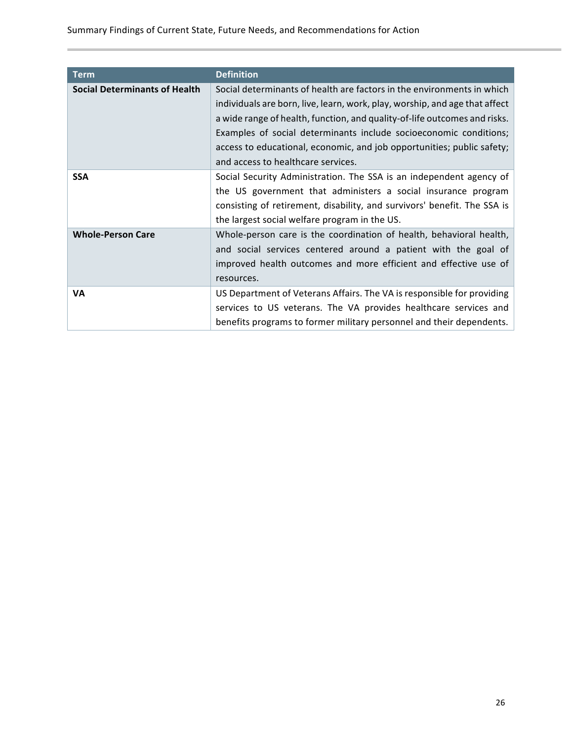| <b>Term</b>                          | <b>Definition</b>                                                           |
|--------------------------------------|-----------------------------------------------------------------------------|
| <b>Social Determinants of Health</b> | Social determinants of health are factors in the environments in which      |
|                                      | individuals are born, live, learn, work, play, worship, and age that affect |
|                                      | a wide range of health, function, and quality-of-life outcomes and risks.   |
|                                      | Examples of social determinants include socioeconomic conditions;           |
|                                      | access to educational, economic, and job opportunities; public safety;      |
|                                      | and access to healthcare services.                                          |
| <b>SSA</b>                           | Social Security Administration. The SSA is an independent agency of         |
|                                      | the US government that administers a social insurance program               |
|                                      | consisting of retirement, disability, and survivors' benefit. The SSA is    |
|                                      | the largest social welfare program in the US.                               |
| <b>Whole-Person Care</b>             | Whole-person care is the coordination of health, behavioral health,         |
|                                      | and social services centered around a patient with the goal of              |
|                                      | improved health outcomes and more efficient and effective use of            |
|                                      | resources.                                                                  |
| VA                                   | US Department of Veterans Affairs. The VA is responsible for providing      |
|                                      | services to US veterans. The VA provides healthcare services and            |
|                                      | benefits programs to former military personnel and their dependents.        |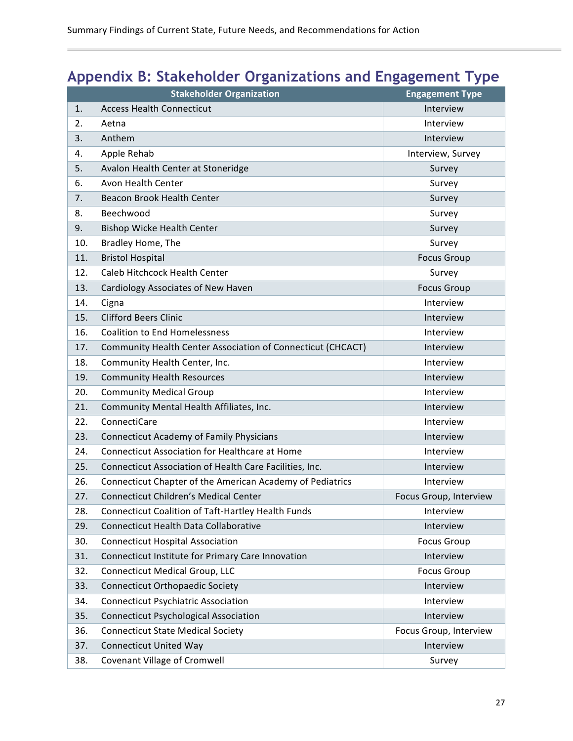# **Appendix B: Stakeholder Organizations and Engagement Type**

|     | <b>Stakeholder Organization</b>                             | <b>Engagement Type</b> |
|-----|-------------------------------------------------------------|------------------------|
| 1.  | <b>Access Health Connecticut</b>                            | Interview              |
| 2.  | Aetna                                                       | Interview              |
| 3.  | Anthem                                                      | Interview              |
| 4.  | Apple Rehab                                                 | Interview, Survey      |
| 5.  | Avalon Health Center at Stoneridge                          | Survey                 |
| 6.  | Avon Health Center                                          | Survey                 |
| 7.  | Beacon Brook Health Center                                  | Survey                 |
| 8.  | Beechwood                                                   | Survey                 |
| 9.  | <b>Bishop Wicke Health Center</b>                           | Survey                 |
| 10. | Bradley Home, The                                           | Survey                 |
| 11. | <b>Bristol Hospital</b>                                     | <b>Focus Group</b>     |
| 12. | Caleb Hitchcock Health Center                               | Survey                 |
| 13. | Cardiology Associates of New Haven                          | <b>Focus Group</b>     |
| 14. | Cigna                                                       | Interview              |
| 15. | <b>Clifford Beers Clinic</b>                                | Interview              |
| 16. | <b>Coalition to End Homelessness</b>                        | Interview              |
| 17. | Community Health Center Association of Connecticut (CHCACT) | Interview              |
| 18. | Community Health Center, Inc.                               | Interview              |
| 19. | <b>Community Health Resources</b>                           | Interview              |
| 20. | <b>Community Medical Group</b>                              | Interview              |
| 21. | Community Mental Health Affiliates, Inc.                    | Interview              |
| 22. | ConnectiCare                                                | Interview              |
| 23. | <b>Connecticut Academy of Family Physicians</b>             | Interview              |
| 24. | <b>Connecticut Association for Healthcare at Home</b>       | Interview              |
| 25. | Connecticut Association of Health Care Facilities, Inc.     | Interview              |
| 26. | Connecticut Chapter of the American Academy of Pediatrics   | Interview              |
| 27. | <b>Connecticut Children's Medical Center</b>                | Focus Group, Interview |
| 28. | <b>Connecticut Coalition of Taft-Hartley Health Funds</b>   | Interview              |
| 29. | Connecticut Health Data Collaborative                       | Interview              |
| 30. | <b>Connecticut Hospital Association</b>                     | <b>Focus Group</b>     |
| 31. | Connecticut Institute for Primary Care Innovation           | Interview              |
| 32. | <b>Connecticut Medical Group, LLC</b>                       | <b>Focus Group</b>     |
| 33. | <b>Connecticut Orthopaedic Society</b>                      | Interview              |
| 34. | <b>Connecticut Psychiatric Association</b>                  | Interview              |
| 35. | <b>Connecticut Psychological Association</b>                | Interview              |
| 36. | <b>Connecticut State Medical Society</b>                    | Focus Group, Interview |
| 37. | <b>Connecticut United Way</b>                               | Interview              |
| 38. | Covenant Village of Cromwell                                | Survey                 |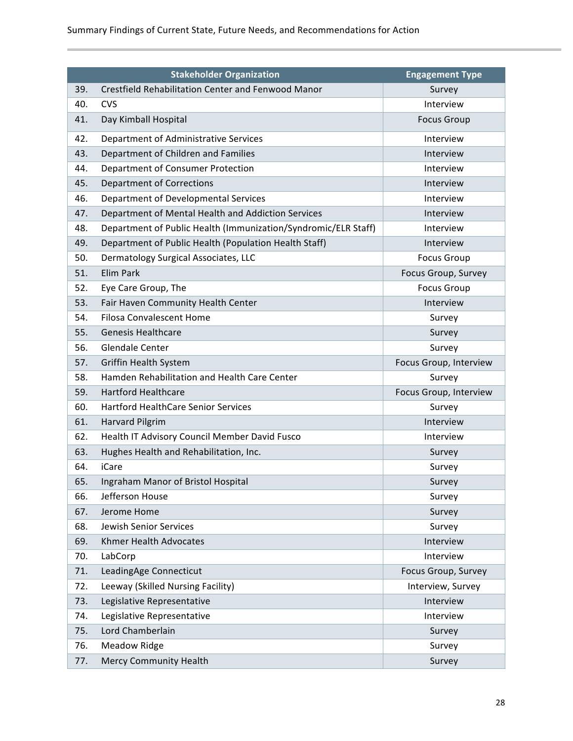|     | <b>Stakeholder Organization</b>                                | <b>Engagement Type</b> |
|-----|----------------------------------------------------------------|------------------------|
| 39. | <b>Crestfield Rehabilitation Center and Fenwood Manor</b>      | Survey                 |
| 40. | <b>CVS</b>                                                     | Interview              |
| 41. | Day Kimball Hospital                                           | <b>Focus Group</b>     |
| 42. | Department of Administrative Services                          | Interview              |
| 43. | Department of Children and Families                            | Interview              |
| 44. | Department of Consumer Protection                              | Interview              |
| 45. | <b>Department of Corrections</b>                               | Interview              |
| 46. | Department of Developmental Services                           | Interview              |
| 47. | Department of Mental Health and Addiction Services             | Interview              |
| 48. | Department of Public Health (Immunization/Syndromic/ELR Staff) | Interview              |
| 49. | Department of Public Health (Population Health Staff)          | Interview              |
| 50. | Dermatology Surgical Associates, LLC                           | <b>Focus Group</b>     |
| 51. | Elim Park                                                      | Focus Group, Survey    |
| 52. | Eye Care Group, The                                            | <b>Focus Group</b>     |
| 53. | Fair Haven Community Health Center                             | Interview              |
| 54. | <b>Filosa Convalescent Home</b>                                | Survey                 |
| 55. | <b>Genesis Healthcare</b>                                      | Survey                 |
| 56. | <b>Glendale Center</b>                                         | Survey                 |
| 57. | Griffin Health System                                          | Focus Group, Interview |
| 58. | Hamden Rehabilitation and Health Care Center                   | Survey                 |
| 59. | <b>Hartford Healthcare</b>                                     | Focus Group, Interview |
| 60. | <b>Hartford HealthCare Senior Services</b>                     | Survey                 |
| 61. | <b>Harvard Pilgrim</b>                                         | Interview              |
| 62. | Health IT Advisory Council Member David Fusco                  | Interview              |
| 63. | Hughes Health and Rehabilitation, Inc.                         | Survey                 |
| 64. | <i>iCare</i>                                                   | Survey                 |
| 65. | Ingraham Manor of Bristol Hospital                             | Survey                 |
| 66. | Jefferson House                                                | Survey                 |
| 67. | Jerome Home                                                    | Survey                 |
| 68. | Jewish Senior Services                                         | Survey                 |
| 69. | Khmer Health Advocates                                         | Interview              |
| 70. | LabCorp                                                        | Interview              |
| 71. | LeadingAge Connecticut                                         | Focus Group, Survey    |
| 72. | Leeway (Skilled Nursing Facility)                              | Interview, Survey      |
| 73. | Legislative Representative                                     | Interview              |
| 74. | Legislative Representative                                     | Interview              |
| 75. | Lord Chamberlain                                               | Survey                 |
| 76. | <b>Meadow Ridge</b>                                            | Survey                 |
| 77. | Mercy Community Health                                         | Survey                 |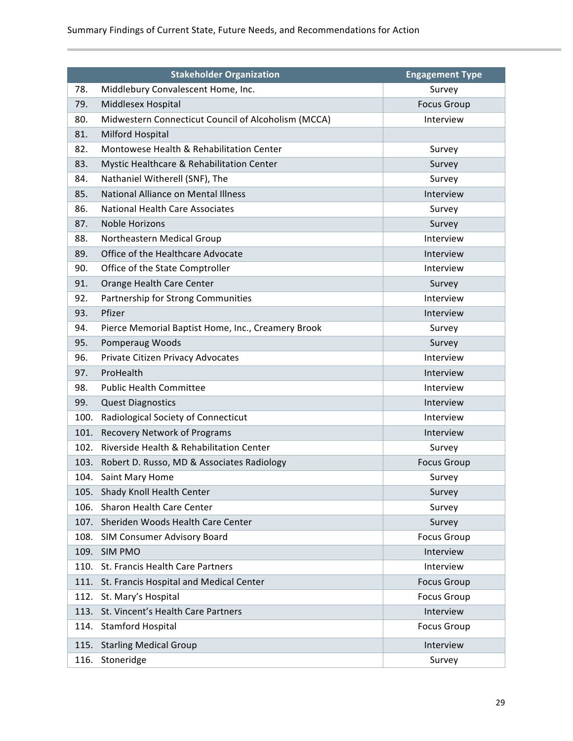|      | <b>Stakeholder Organization</b>                     | <b>Engagement Type</b> |
|------|-----------------------------------------------------|------------------------|
| 78.  | Middlebury Convalescent Home, Inc.                  | Survey                 |
| 79.  | Middlesex Hospital                                  | <b>Focus Group</b>     |
| 80.  | Midwestern Connecticut Council of Alcoholism (MCCA) | Interview              |
| 81.  | Milford Hospital                                    |                        |
| 82.  | Montowese Health & Rehabilitation Center            | Survey                 |
| 83.  | Mystic Healthcare & Rehabilitation Center           | Survey                 |
| 84.  | Nathaniel Witherell (SNF), The                      | Survey                 |
| 85.  | <b>National Alliance on Mental Illness</b>          | Interview              |
| 86.  | <b>National Health Care Associates</b>              | Survey                 |
| 87.  | <b>Noble Horizons</b>                               | Survey                 |
| 88.  | Northeastern Medical Group                          | Interview              |
| 89.  | Office of the Healthcare Advocate                   | Interview              |
| 90.  | Office of the State Comptroller                     | Interview              |
| 91.  | Orange Health Care Center                           | Survey                 |
| 92.  | Partnership for Strong Communities                  | Interview              |
| 93.  | Pfizer                                              | Interview              |
| 94.  | Pierce Memorial Baptist Home, Inc., Creamery Brook  | Survey                 |
| 95.  | Pomperaug Woods                                     | Survey                 |
| 96.  | Private Citizen Privacy Advocates                   | Interview              |
| 97.  | ProHealth                                           | Interview              |
| 98.  | <b>Public Health Committee</b>                      | Interview              |
| 99.  | <b>Quest Diagnostics</b>                            | Interview              |
| 100. | Radiological Society of Connecticut                 | Interview              |
| 101. | <b>Recovery Network of Programs</b>                 | Interview              |
| 102. | Riverside Health & Rehabilitation Center            | Survey                 |
|      | 103. Robert D. Russo, MD & Associates Radiology     | <b>Focus Group</b>     |
|      | 104. Saint Mary Home                                | Survey                 |
| 105. | Shady Knoll Health Center                           | Survey                 |
| 106. | Sharon Health Care Center                           | Survey                 |
| 107. | Sheriden Woods Health Care Center                   | Survey                 |
| 108. | <b>SIM Consumer Advisory Board</b>                  | <b>Focus Group</b>     |
| 109. | <b>SIM PMO</b>                                      | Interview              |
| 110. | St. Francis Health Care Partners                    | Interview              |
| 111. | St. Francis Hospital and Medical Center             | <b>Focus Group</b>     |
| 112. | St. Mary's Hospital                                 | <b>Focus Group</b>     |
| 113. | St. Vincent's Health Care Partners                  | Interview              |
|      | 114. Stamford Hospital                              | <b>Focus Group</b>     |
|      | 115. Starling Medical Group                         | Interview              |
| 116. | Stoneridge                                          | Survey                 |